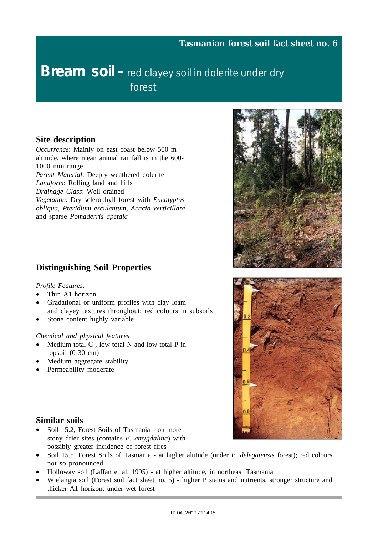# **Bream soil –** red clayey soil in dolerite under dry forest

## **Site description**

*Occurrence*: Mainly on east coast below 500 m altitude, where mean annual rainfall is in the 600- 1000 mm range *Parent Material*: Deeply weathered dolerite *Landform*: Rolling land and hills *Drainage Class*: Well drained *Vegetation*: Dry sclerophyll forest with *Eucalyptus obliqua, Pteridium esculentum*, *Acacia verticillata* and sparse *Pomaderris apetala*

## **Distinguishing Soil Properties**

#### *Profile Features:*

- Thin A1 horizon
- Gradational or uniform profiles with clay loam and clayey textures throughout; red colours in subsoils
- Stone content highly variable

#### *Chemical and physical features*

- Medium total  $C$ , low total  $N$  and low total  $P$  in topsoil (0-30 cm)
- Medium aggregate stability
- Permeability moderate

#### **Similar soils**

- Soil 15.2, Forest Soils of Tasmania on more stony drier sites (contains *E. amygdalina*) with possibly greater incidence of forest fires
- Soil 15.5, Forest Soils of Tasmania at higher altitude (under *E. delegatensis* forest); red colours not so pronounced
- Holloway soil (Laffan et al. 1995) at higher altitude, in northeast Tasmania
- Wielangta soil (Forest soil fact sheet no. 5) higher P status and nutrients, stronger structure and thicker A1 horizon; under wet forest



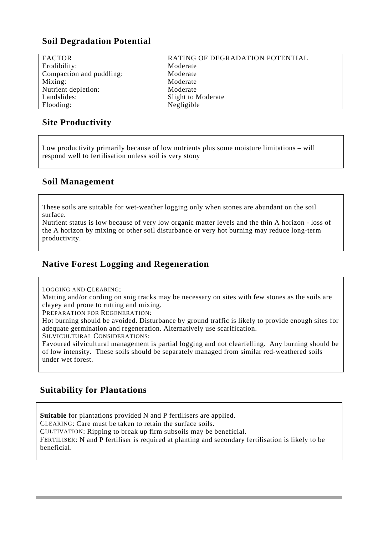# **Soil Degradation Potential**

| <b>FACTOR</b>            | RATING OF DEGRADATION POTENTIAL |
|--------------------------|---------------------------------|
| Erodibility:             | Moderate                        |
| Compaction and puddling: | Moderate                        |
| Mixing:                  | Moderate                        |
| Nutrient depletion:      | Moderate                        |
| Landslides:              | Slight to Moderate              |
| Flooding:                | Negligible                      |

# **Site Productivity**

Low productivity primarily because of low nutrients plus some moisture limitations – will respond well to fertilisation unless soil is very stony

#### **Soil Management**

These soils are suitable for wet-weather logging only when stones are abundant on the soil surface.

Nutrient status is low because of very low organic matter levels and the thin A horizon - loss of the A horizon by mixing or other soil disturbance or very hot burning may reduce long-term productivity.

# **Native Forest Logging and Regeneration**

LOGGING AND CLEARING:

Matting and/or cording on snig tracks may be necessary on sites with few stones as the soils are clayey and prone to rutting and mixing.

PREPARATION FOR REGENERATION:

Hot burning should be avoided. Disturbance by ground traffic is likely to provide enough sites for adequate germination and regeneration. Alternatively use scarification.

SILVICULTURAL CONSIDERATIONS:

Favoured silvicultural management is partial logging and not clearfelling. Any burning should be of low intensity. These soils should be separately managed from similar red-weathered soils under wet forest.

# **Suitability for Plantations**

**Suitable** for plantations provided N and P fertilisers are applied.

CLEARING: Care must be taken to retain the surface soils.

CULTIVATION: Ripping to break up firm subsoils may be beneficial.

FERTILISER: N and P fertiliser is required at planting and secondary fertilisation is likely to be beneficial.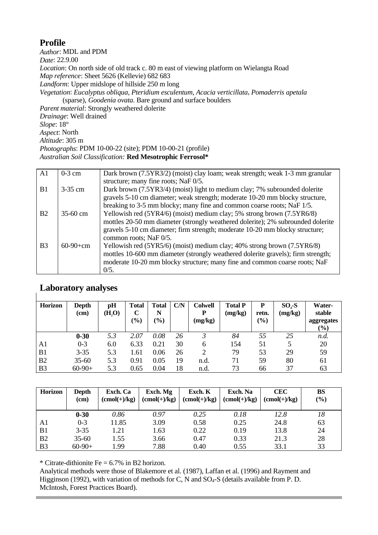# **Profile**

*Author*: MDL and PDM *Date*: 22.9.00 *Location*: On north side of old track c. 80 m east of viewing platform on Wielangta Road *Map reference*: Sheet 5626 (Kellevie) 682 683 *Landform*: Upper midslope of hillside 250 m long *Vegetation*: *Eucalyptus obliqua, Pteridium esculentum, Acacia verticillata*, *Pomaderris apetala* (sparse), *Goodenia ovata*. Bare ground and surface boulders *Parent material*: Strongly weathered dolerite *Drainage*: Well drained *Slope*: 18° *Aspect*: North *Altitude*: 305 m *Photographs*: PDM 10-00-22 (site); PDM 10-00-21 (profile) *Australian Soil Classification:* **Red Mesotrophic Ferrosol\***

| A <sub>1</sub> | $0-3$ cm   | Dark brown (7.5YR3/2) (moist) clay loam; weak strength; weak 1-3 mm granular<br>structure; many fine roots; NaF 0/5.                                                                                                                                                                                                                                |
|----------------|------------|-----------------------------------------------------------------------------------------------------------------------------------------------------------------------------------------------------------------------------------------------------------------------------------------------------------------------------------------------------|
| B1             | $3-35$ cm  | Dark brown (7.5YR3/4) (moist) light to medium clay; 7% subrounded dolerite<br>gravels 5-10 cm diameter; weak strength; moderate 10-20 mm blocky structure,                                                                                                                                                                                          |
| B <sub>2</sub> | $35-60$ cm | breaking to 3-5 mm blocky; many fine and common coarse roots; NaF 1/5.<br>Yellowish red (5YR4/6) (moist) medium clay; 5% strong brown (7.5YR6/8)<br>mottles 20-50 mm diameter (strongly weathered dolerite); 2% subrounded dolerite                                                                                                                 |
| B <sub>3</sub> | $60-90+cm$ | gravels 5-10 cm diameter; firm strength; moderate 10-20 mm blocky structure;<br>common roots; NaF 0/5.<br>Yellowish red (5YR5/6) (moist) medium clay; 40% strong brown (7.5YR6/8)<br>mottles 10-600 mm diameter (strongly weathered dolerite gravels); firm strength;<br>moderate 10-20 mm blocky structure; many fine and common coarse roots; NaF |
|                |            | 0/5.                                                                                                                                                                                                                                                                                                                                                |

## **Laboratory analyses**

| <b>Horizon</b> | Depth<br>(cm) | pH<br>$(\mathbf{H}_{2}\mathbf{O})$ | Total<br>$\mathbf C$<br>$\left(\frac{9}{0}\right)$ | Total<br>N<br>$\frac{1}{2}$ | C/N | <b>Colwell</b><br>D<br>(mg/kg) | <b>Total P</b><br>(mg/kg) | P<br>retn.<br>$\frac{9}{0}$ | $SO4-S$<br>(mg/kg) | Water-<br>stable<br>aggregates<br>(%) |
|----------------|---------------|------------------------------------|----------------------------------------------------|-----------------------------|-----|--------------------------------|---------------------------|-----------------------------|--------------------|---------------------------------------|
|                | $0 - 30$      | 5.3                                | 2.07                                               | 0.08                        | 26  |                                | 84                        | 55                          | 25                 | n.d.                                  |
| A1             | $0 - 3$       | 6.0                                | 6.33                                               | 0.21                        | 30  | 6                              | 154                       | 51                          | 5                  | 20                                    |
| B <sub>1</sub> | $3 - 35$      | 5.3                                | 1.61                                               | 0.06                        | 26  |                                | 79                        | 53                          | 29                 | 59                                    |
| B <sub>2</sub> | $35 - 60$     | 5.3                                | 0.91                                               | 0.05                        | 19  | n.d.                           | 71                        | 59                          | 80                 | 61                                    |
| B <sub>3</sub> | $60-90+$      | 5.3                                | 0.65                                               | 0.04                        | 18  | n.d.                           | 73                        | 66                          | 37                 | 63                                    |

| <b>Horizon</b> | <b>Depth</b><br>(cm) | Exch. Ca<br>$(cmol(+)/kg)$ | Exch. Mg<br>$(cmol(+)/kg)$ | Exch. K<br>$(cmol(+)/kg)$ | Exch. Na<br>$(cmol(+)/kg)$ | <b>CEC</b><br>$(cmol(+)/kg)$ | <b>BS</b><br>(%) |
|----------------|----------------------|----------------------------|----------------------------|---------------------------|----------------------------|------------------------------|------------------|
|                | $0 - 30$             | 0.86                       | 0.97                       | 0.25                      | 0.18                       | 12.8                         | 18               |
| A1             | $0 - 3$              | 11.85                      | 3.09                       | 0.58                      | 0.25                       | 24.8                         | 63               |
| B1             | $3 - 35$             | 1.21                       | 1.63                       | 0.22                      | 0.19                       | 13.8                         | 24               |
| B <sub>2</sub> | $35 - 60$            | 1.55                       | 3.66                       | 0.47                      | 0.33                       | 21.3                         | 28               |
| B <sub>3</sub> | $60-90+$             | 1.99                       | 7.88                       | 0.40                      | 0.55                       | 33.1                         | 33               |

\* Citrate-dithionite Fe =  $6.7\%$  in B2 horizon.

Analytical methods were those of Blakemore et al. (1987), Laffan et al. (1996) and Rayment and Higginson (1992), with variation of methods for C, N and  $SO_4$ -S (details available from P. D. McIntosh, Forest Practices Board).